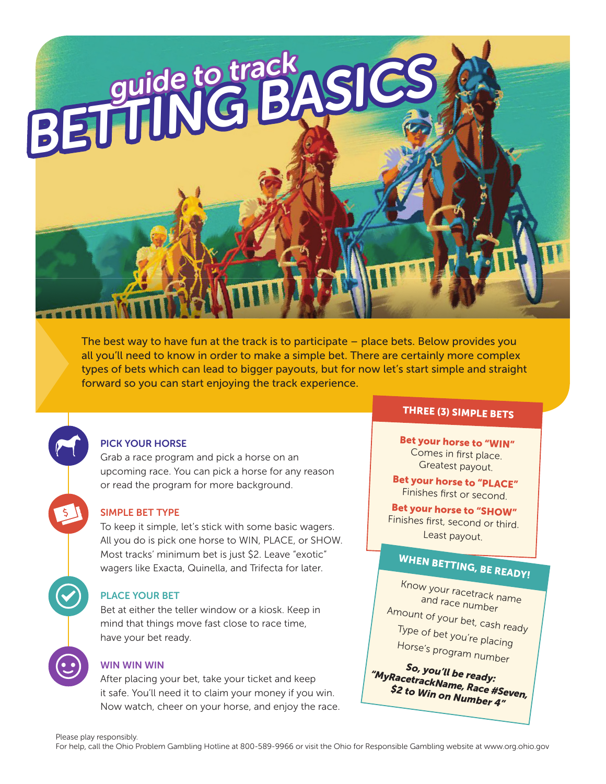### PICK YOUR HORSE

Grab a race program and pick a horse on an upcoming race. You can pick a horse for any reason or read the program for more background.

forward so you can start enjoying the track experience.

BETTING BASI

### SIMPLE BET TYPE

To keep it simple, let's stick with some basic wagers. All you do is pick one horse to WIN, PLACE, or SHOW. Most tracks' minimum bet is just \$2. Leave "exotic" wagers like Exacta, Quinella, and Trifecta for later.

### PLACE YOUR BET

Bet at either the teller window or a kiosk. Keep in mind that things move fast close to race time, have your bet ready.

### WIN WIN WIN

After placing your bet, take your ticket and keep it safe. You'll need it to claim your money if you win. Now watch, cheer on your horse, and enjoy the race.

### THREE (3) SIMPLE BETS

Bet your horse to "WIN" Comes in first place. Greatest payout.

Bet your horse to "PLACE" Finishes first or second.

Bet your horse to "SHOW"Finishes first, second or third. Least payout.

## WHEN BETTING, BE READY!

Know your racetrack name and race number Amount of your bet, cash ready

Type of bet you're placing Horse's program number

So, you'll be ready: "MyRacetrackName, Race #Seven, \$2 to Win on Number 4"

The best way to have fun at the track is to participate – place bets. Below provides you all you'll need to know in order to make a simple bet. There are certainly more complex types of bets which can lead to bigger payouts, but for now let's start simple and straight